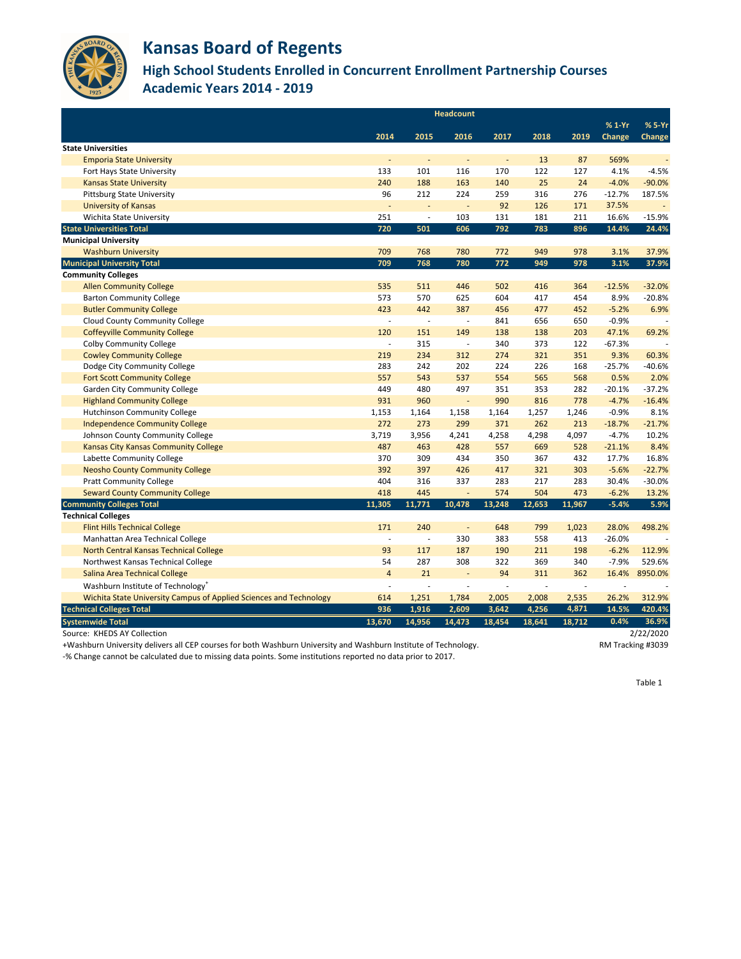|                                                                    | <b>Headcount</b>         |                          |                          |        |                |        |          |               |
|--------------------------------------------------------------------|--------------------------|--------------------------|--------------------------|--------|----------------|--------|----------|---------------|
|                                                                    |                          |                          |                          |        |                |        | $%1-Yr$  | % 5-Yr        |
|                                                                    | 2014                     | 2015                     | 2016                     | 2017   | 2018           | 2019   | Change   | <b>Change</b> |
| <b>State Universities</b>                                          |                          |                          |                          |        |                |        |          |               |
| <b>Emporia State University</b>                                    |                          |                          |                          |        | 13             | 87     | 569%     |               |
| Fort Hays State University                                         | 133                      | 101                      | 116                      | 170    | 122            | 127    | 4.1%     | $-4.5%$       |
| <b>Kansas State University</b>                                     | 240                      | 188                      | 163                      | 140    | 25             | 24     | $-4.0%$  | $-90.0%$      |
| <b>Pittsburg State University</b>                                  | 96                       | 212                      | 224                      | 259    | 316            | 276    | $-12.7%$ | 187.5%        |
| <b>University of Kansas</b>                                        |                          | $\overline{\phantom{a}}$ |                          | 92     | 126            | 171    | 37.5%    |               |
| Wichita State University                                           | 251                      | $\overline{\phantom{a}}$ | 103                      | 131    | 181            | 211    | 16.6%    | $-15.9%$      |
| <b>State Universities Total</b>                                    | 720                      | 501                      | 606                      | 792    | 783            | 896    | 14.4%    | 24.4%         |
| <b>Municipal University</b>                                        |                          |                          |                          |        |                |        |          |               |
| <b>Washburn University</b>                                         | 709                      | 768                      | 780                      | 772    | 949            | 978    | 3.1%     | 37.9%         |
| <b>Municipal University Total</b>                                  | 709                      | 768                      | 780                      | 772    | 949            | 978    | 3.1%     | 37.9%         |
| <b>Community Colleges</b>                                          |                          |                          |                          |        |                |        |          |               |
| <b>Allen Community College</b>                                     | 535                      | 511                      | 446                      | 502    | 416            | 364    | $-12.5%$ | $-32.0%$      |
| <b>Barton Community College</b>                                    | 573                      | 570                      | 625                      | 604    | 417            | 454    | 8.9%     | $-20.8%$      |
| <b>Butler Community College</b>                                    | 423                      | 442                      | 387                      | 456    | 477            | 452    | $-5.2%$  | 6.9%          |
| <b>Cloud County Community College</b>                              |                          | $\overline{\phantom{a}}$ |                          | 841    | 656            | 650    | $-0.9%$  |               |
| <b>Coffeyville Community College</b>                               | 120                      | 151                      | 149                      | 138    | 138            | 203    | 47.1%    | 69.2%         |
| <b>Colby Community College</b>                                     |                          | 315                      |                          | 340    | 373            | 122    | $-67.3%$ |               |
| <b>Cowley Community College</b>                                    | 219                      | 234                      | 312                      | 274    | 321            | 351    | 9.3%     | 60.3%         |
| Dodge City Community College                                       | 283                      | 242                      | 202                      | 224    | 226            | 168    | $-25.7%$ | $-40.6%$      |
| <b>Fort Scott Community College</b>                                | 557                      | 543                      | 537                      | 554    | 565            | 568    | 0.5%     | 2.0%          |
| <b>Garden City Community College</b>                               | 449                      | 480                      | 497                      | 351    | 353            | 282    | $-20.1%$ | $-37.2%$      |
| <b>Highland Community College</b>                                  | 931                      | 960                      | $\overline{\phantom{a}}$ | 990    | 816            | 778    | $-4.7%$  | $-16.4%$      |
| <b>Hutchinson Community College</b>                                | 1,153                    | 1,164                    | 1,158                    | 1,164  | 1,257          | 1,246  | $-0.9%$  | 8.1%          |
| <b>Independence Community College</b>                              | 272                      | 273                      | 299                      | 371    | 262            | 213    | $-18.7%$ | $-21.7%$      |
| Johnson County Community College                                   | 3,719                    | 3,956                    | 4,241                    | 4,258  | 4,298          | 4,097  | $-4.7%$  | 10.2%         |
| <b>Kansas City Kansas Community College</b>                        | 487                      | 463                      | 428                      | 557    | 669            | 528    | $-21.1%$ | 8.4%          |
| Labette Community College                                          | 370                      | 309                      | 434                      | 350    | 367            | 432    | 17.7%    | 16.8%         |
| <b>Neosho County Community College</b>                             | 392                      | 397                      | 426                      | 417    | 321            | 303    | $-5.6%$  | $-22.7%$      |
| <b>Pratt Community College</b>                                     | 404                      | 316                      | 337                      | 283    | 217            | 283    | 30.4%    | $-30.0%$      |
| <b>Seward County Community College</b>                             | 418                      | 445                      |                          | 574    | 504            | 473    | $-6.2%$  | 13.2%         |
| <b>Community Colleges Total</b>                                    | 11,305                   | 11,771                   | 10,478                   | 13,248 | 12,653         | 11,967 | $-5.4%$  | 5.9%          |
| <b>Technical Colleges</b>                                          |                          |                          |                          |        |                |        |          |               |
| <b>Flint Hills Technical College</b>                               | 171                      | 240                      | $\overline{\phantom{a}}$ | 648    | 799            | 1,023  | 28.0%    | 498.2%        |
| Manhattan Area Technical College                                   |                          | $\overline{\phantom{a}}$ | 330                      | 383    | 558            | 413    | $-26.0%$ |               |
| North Central Kansas Technical College                             | 93                       | 117                      | 187                      | 190    | 211            | 198    | $-6.2%$  | 112.9%        |
| Northwest Kansas Technical College                                 | 54                       | 287                      | 308                      | 322    | 369            | 340    | $-7.9%$  | 529.6%        |
| Salina Area Technical College                                      | $\overline{4}$           | 21                       | $\blacksquare$           | 94     | 311            | 362    | 16.4%    | 8950.0%       |
| Washburn Institute of Technology <sup>+</sup>                      | $\overline{\phantom{a}}$ |                          |                          |        | $\overline{a}$ |        |          |               |
| Wichita State University Campus of Applied Sciences and Technology | 614                      | 1,251                    | 1,784                    | 2,005  | 2,008          | 2,535  | 26.2%    | 312.9%        |
| <b>Technical Colleges Total</b>                                    | 936                      | 1,916                    | 2,609                    | 3,642  | 4,256          | 4,871  | 14.5%    | 420.4%        |
| <b>Systemwide Total</b>                                            | 13,670                   | 14,956                   | 14,473                   | 18,454 | 18,641         | 18,712 | 0.4%     | 36.9%         |
| Source: KHEDS AY Collection                                        |                          |                          |                          |        |                |        |          | 2/22/2020     |

+Washburn University delivers all CEP courses for both Washburn University and Washburn Institute of Technology. RM Tracking #3039

-% Change cannot be calculated due to missing data points. Some institutions reported no data prior to 2017.



### **Kansas Board of Regents**

#### **High School Students Enrolled in Concurrent Enrollment Partnership Courses Academic Years 2014 - 2019**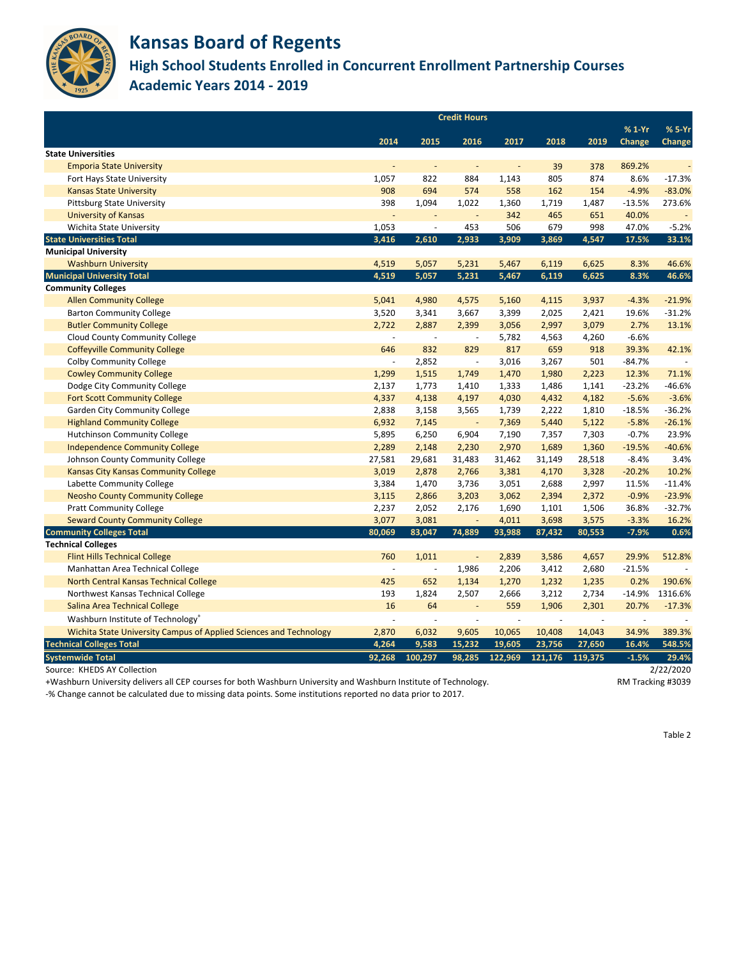

**High School Students Enrolled in Concurrent Enrollment Partnership Courses Academic Years 2014 - 2019**

|                                                                    | <b>Credit Hours</b>          |                          |                          |                          |         |         |               |               |
|--------------------------------------------------------------------|------------------------------|--------------------------|--------------------------|--------------------------|---------|---------|---------------|---------------|
|                                                                    |                              |                          |                          |                          |         |         | $%1-Yr$       | % 5-Yr        |
| <b>State Universities</b>                                          | 2014                         | 2015                     | 2016                     | 2017                     | 2018    | 2019    | <b>Change</b> | <b>Change</b> |
| <b>Emporia State University</b>                                    | $\overline{\phantom{a}}$     | $\overline{\phantom{a}}$ |                          | $\overline{\phantom{a}}$ | 39      | 378     | 869.2%        |               |
| Fort Hays State University                                         | 1,057                        | 822                      | 884                      | 1,143                    | 805     | 874     | 8.6%          | $-17.3%$      |
| <b>Kansas State University</b>                                     | 908                          | 694                      | 574                      | 558                      | 162     | 154     | $-4.9%$       | $-83.0%$      |
| <b>Pittsburg State University</b>                                  | 398                          | 1,094                    | 1,022                    | 1,360                    | 1,719   | 1,487   | $-13.5%$      | 273.6%        |
| <b>University of Kansas</b>                                        | $\blacksquare$               |                          |                          | 342                      | 465     | 651     | 40.0%         |               |
| Wichita State University                                           | 1,053                        | $\overline{\phantom{a}}$ | 453                      | 506                      | 679     | 998     | 47.0%         | $-5.2%$       |
| <b>State Universities Total</b>                                    | 3,416                        | 2,610                    | 2,933                    | 3,909                    | 3,869   | 4,547   | 17.5%         | 33.1%         |
| <b>Municipal University</b>                                        |                              |                          |                          |                          |         |         |               |               |
| <b>Washburn University</b>                                         | 4,519                        | 5,057                    | 5,231                    | 5,467                    | 6,119   | 6,625   | 8.3%          | 46.6%         |
| <b>Municipal University Total</b>                                  | 4,519                        | 5,057                    | 5,231                    | 5,467                    | 6,119   | 6,625   | 8.3%          | 46.6%         |
| <b>Community Colleges</b>                                          |                              |                          |                          |                          |         |         |               |               |
| <b>Allen Community College</b>                                     | 5,041                        | 4,980                    | 4,575                    | 5,160                    | 4,115   | 3,937   | $-4.3%$       | $-21.9%$      |
| <b>Barton Community College</b>                                    | 3,520                        | 3,341                    | 3,667                    | 3,399                    | 2,025   | 2,421   | 19.6%         | $-31.2%$      |
| <b>Butler Community College</b>                                    | 2,722                        | 2,887                    | 2,399                    | 3,056                    | 2,997   | 3,079   | 2.7%          | 13.1%         |
| <b>Cloud County Community College</b>                              |                              |                          |                          | 5,782                    | 4,563   | 4,260   | $-6.6%$       |               |
| <b>Coffeyville Community College</b>                               | 646                          | 832                      | 829                      | 817                      | 659     | 918     | 39.3%         | 42.1%         |
| <b>Colby Community College</b>                                     | $\qquad \qquad \blacksquare$ | 2,852                    | $\overline{\phantom{a}}$ | 3,016                    | 3,267   | 501     | $-84.7%$      |               |
| <b>Cowley Community College</b>                                    | 1,299                        | 1,515                    | 1,749                    | 1,470                    | 1,980   | 2,223   | 12.3%         | 71.1%         |
| Dodge City Community College                                       | 2,137                        | 1,773                    | 1,410                    | 1,333                    | 1,486   | 1,141   | $-23.2%$      | $-46.6%$      |
| <b>Fort Scott Community College</b>                                | 4,337                        | 4,138                    | 4,197                    | 4,030                    | 4,432   | 4,182   | $-5.6%$       | $-3.6%$       |
| <b>Garden City Community College</b>                               | 2,838                        | 3,158                    | 3,565                    | 1,739                    | 2,222   | 1,810   | $-18.5%$      | $-36.2%$      |
| <b>Highland Community College</b>                                  | 6,932                        | 7,145                    | $\overline{\phantom{a}}$ | 7,369                    | 5,440   | 5,122   | $-5.8%$       | $-26.1%$      |
| <b>Hutchinson Community College</b>                                | 5,895                        | 6,250                    | 6,904                    | 7,190                    | 7,357   | 7,303   | $-0.7%$       | 23.9%         |
| <b>Independence Community College</b>                              | 2,289                        | 2,148                    | 2,230                    | 2,970                    | 1,689   | 1,360   | $-19.5%$      | $-40.6%$      |
| Johnson County Community College                                   | 27,581                       | 29,681                   | 31,483                   | 31,462                   | 31,149  | 28,518  | $-8.4%$       | 3.4%          |
| Kansas City Kansas Community College                               | 3,019                        | 2,878                    | 2,766                    | 3,381                    | 4,170   | 3,328   | $-20.2%$      | 10.2%         |
| Labette Community College                                          | 3,384                        | 1,470                    | 3,736                    | 3,051                    | 2,688   | 2,997   | 11.5%         | $-11.4%$      |
| <b>Neosho County Community College</b>                             | 3,115                        | 2,866                    | 3,203                    | 3,062                    | 2,394   | 2,372   | $-0.9%$       | $-23.9%$      |
| <b>Pratt Community College</b>                                     | 2,237                        | 2,052                    | 2,176                    | 1,690                    | 1,101   | 1,506   | 36.8%         | $-32.7%$      |
| <b>Seward County Community College</b>                             | 3,077                        | 3,081                    |                          | 4,011                    | 3,698   | 3,575   | $-3.3%$       | 16.2%         |
| <b>Community Colleges Total</b>                                    | 80,069                       | 83,047                   | 74,889                   | 93,988                   | 87,432  | 80,553  | $-7.9%$       | 0.6%          |
| <b>Technical Colleges</b>                                          |                              |                          |                          |                          |         |         |               |               |
| <b>Flint Hills Technical College</b>                               | 760                          | 1,011                    |                          | 2,839                    | 3,586   | 4,657   | 29.9%         | 512.8%        |
| Manhattan Area Technical College                                   |                              |                          | 1,986                    | 2,206                    | 3,412   | 2,680   | $-21.5%$      |               |
| North Central Kansas Technical College                             | 425                          | 652                      | 1,134                    | 1,270                    | 1,232   | 1,235   | 0.2%          | 190.6%        |
| Northwest Kansas Technical College                                 | 193                          | 1,824                    | 2,507                    | 2,666                    | 3,212   | 2,734   | $-14.9%$      | 1316.6%       |
| Salina Area Technical College                                      | 16                           | 64                       | $\overline{\phantom{a}}$ | 559                      | 1,906   | 2,301   | 20.7%         | $-17.3%$      |
| Washburn Institute of Technology <sup>+</sup>                      |                              |                          |                          |                          |         |         |               |               |
| Wichita State University Campus of Applied Sciences and Technology | 2,870                        | 6,032                    | 9,605                    | 10,065                   | 10,408  | 14,043  | 34.9%         | 389.3%        |
| <b>Technical Colleges Total</b>                                    | 4,264                        | 9,583                    | 15,232                   | 19,605                   | 23,756  | 27,650  | 16.4%         | 548.5%        |
| <b>Systemwide Total</b>                                            | 92,268                       | 100,297                  | 98,285                   | 122,969                  | 121,176 | 119,375 | $-1.5%$       | 29.4%         |
| Source: KHEDS AY Collection                                        |                              |                          |                          |                          |         |         |               | 2/22/2020     |

+Washburn University delivers all CEP courses for both Washburn University and Washburn Institute of Technology. RM Tracking #3039

-% Change cannot be calculated due to missing data points. Some institutions reported no data prior to 2017.

Table 2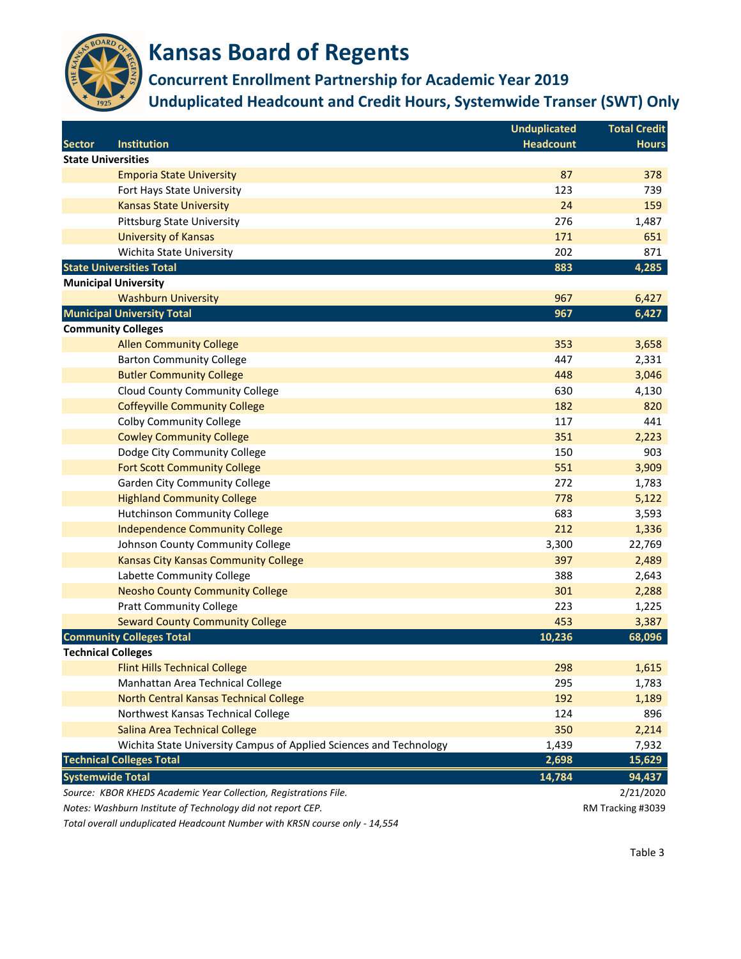

**Concurrent Enrollment Partnership for Academic Year 2019**

**Unduplicated Headcount and Credit Hours, Systemwide Transer (SWT) Only**

|               |                                                                    | <b>Unduplicated</b> | <b>Total Credit</b> |
|---------------|--------------------------------------------------------------------|---------------------|---------------------|
| <b>Sector</b> | <b>Institution</b>                                                 | <b>Headcount</b>    | <b>Hours</b>        |
|               | <b>State Universities</b>                                          |                     |                     |
|               | <b>Emporia State University</b>                                    | 87                  | 378                 |
|               | Fort Hays State University                                         | 123                 | 739                 |
|               | <b>Kansas State University</b>                                     | 24                  | 159                 |
|               | <b>Pittsburg State University</b>                                  | 276                 | 1,487               |
|               | <b>University of Kansas</b>                                        | 171                 | 651                 |
|               | Wichita State University                                           | 202                 | 871                 |
|               | <b>State Universities Total</b>                                    | 883                 | 4,285               |
|               | <b>Municipal University</b>                                        |                     |                     |
|               | <b>Washburn University</b>                                         | 967                 | 6,427               |
|               | <b>Municipal University Total</b>                                  | 967                 | 6,427               |
|               | <b>Community Colleges</b>                                          |                     |                     |
|               | <b>Allen Community College</b>                                     | 353                 | 3,658               |
|               | <b>Barton Community College</b>                                    | 447                 | 2,331               |
|               | <b>Butler Community College</b>                                    | 448                 | 3,046               |
|               | <b>Cloud County Community College</b>                              | 630                 | 4,130               |
|               | <b>Coffeyville Community College</b>                               | 182                 | 820                 |
|               | <b>Colby Community College</b>                                     | 117                 | 441                 |
|               | <b>Cowley Community College</b>                                    | 351                 | 2,223               |
|               | Dodge City Community College                                       | 150                 | 903                 |
|               | <b>Fort Scott Community College</b>                                | 551                 | 3,909               |
|               | <b>Garden City Community College</b>                               | 272                 | 1,783               |
|               | <b>Highland Community College</b>                                  | 778                 | 5,122               |
|               | <b>Hutchinson Community College</b>                                | 683                 | 3,593               |
|               | <b>Independence Community College</b>                              | 212                 | 1,336               |
|               | Johnson County Community College                                   | 3,300               | 22,769              |
|               | <b>Kansas City Kansas Community College</b>                        | 397                 | 2,489               |
|               | Labette Community College                                          | 388                 | 2,643               |
|               | <b>Neosho County Community College</b>                             | 301                 | 2,288               |
|               | <b>Pratt Community College</b>                                     | 223                 | 1,225               |
|               | <b>Seward County Community College</b>                             | 453                 | 3,387               |
|               | <b>Community Colleges Total</b>                                    | 10,236              | 68,096              |
|               | <b>Technical Colleges</b>                                          |                     |                     |
|               | <b>Flint Hills Technical College</b>                               | 298                 | 1,615               |
|               | Manhattan Area Technical College                                   | 295                 | 1,783               |
|               | North Central Kansas Technical College                             | 192                 | 1,189               |
|               | Northwest Kansas Technical College                                 | 124                 | 896                 |
|               | Salina Area Technical College                                      | 350                 | 2,214               |
|               | Wichita State University Campus of Applied Sciences and Technology | 1,439               | 7,932               |
|               | <b>Technical Colleges Total</b>                                    | 2,698               | 15,629              |
|               | <b>Systemwide Total</b>                                            | 14,784              | 94,437              |
|               | Source: KBOR KHEDS Academic Year Collection, Registrations File.   |                     | 2/21/2020           |
|               | Notes: Washburn Institute of Technology did not report CEP.        |                     | RM Tracking #3039   |

*Total overall unduplicated Headcount Number with KRSN course only - 14,554*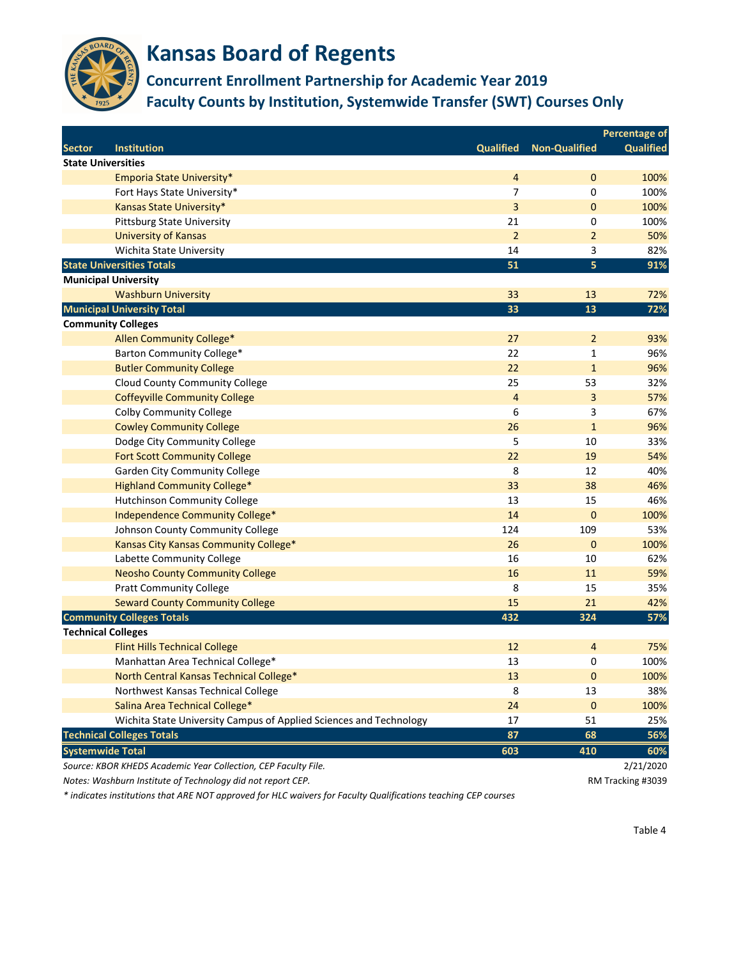

#### **Concurrent Enrollment Partnership for Academic Year 2019 Faculty Counts by Institution, Systemwide Transfer (SWT) Courses Only**

|               |                                                                    |                  |                      | <b>Percentage of</b> |
|---------------|--------------------------------------------------------------------|------------------|----------------------|----------------------|
| <b>Sector</b> | <b>Institution</b>                                                 | <b>Qualified</b> | <b>Non-Qualified</b> | <b>Qualified</b>     |
|               | <b>State Universities</b>                                          |                  |                      |                      |
|               | Emporia State University*                                          | $\overline{a}$   | $\mathbf 0$          | 100%                 |
|               | Fort Hays State University*                                        | 7                | 0                    | 100%                 |
|               | Kansas State University*                                           | 3                | $\mathbf{0}$         | 100%                 |
|               | <b>Pittsburg State University</b>                                  | 21               | 0                    | 100%                 |
|               | <b>University of Kansas</b>                                        | $\overline{2}$   | $\overline{2}$       | 50%                  |
|               | Wichita State University                                           | 14               | 3                    | 82%                  |
|               | <b>State Universities Totals</b>                                   | 51               | 5                    | 91%                  |
|               | <b>Municipal University</b>                                        |                  |                      |                      |
|               | <b>Washburn University</b>                                         | 33               | 13                   | 72%                  |
|               | <b>Municipal University Total</b>                                  | 33               | 13                   | 72%                  |
|               | <b>Community Colleges</b>                                          |                  |                      |                      |
|               | Allen Community College*                                           | 27               | $\overline{2}$       | 93%                  |
|               | Barton Community College*                                          | 22               | $\mathbf{1}$         | 96%                  |
|               | <b>Butler Community College</b>                                    | 22               | $\mathbf{1}$         | 96%                  |
|               | <b>Cloud County Community College</b>                              | 25               | 53                   | 32%                  |
|               | <b>Coffeyville Community College</b>                               | $\overline{4}$   | 3                    | 57%                  |
|               | <b>Colby Community College</b>                                     | 6                | 3                    | 67%                  |
|               | <b>Cowley Community College</b>                                    | 26               | $\mathbf{1}$         | 96%                  |
|               | Dodge City Community College                                       | 5                | 10                   | 33%                  |
|               | <b>Fort Scott Community College</b>                                | 22               | 19                   | 54%                  |
|               | <b>Garden City Community College</b>                               | 8                | 12                   | 40%                  |
|               | <b>Highland Community College*</b>                                 | 33               | 38                   | 46%                  |
|               | <b>Hutchinson Community College</b>                                | 13               | 15                   | 46%                  |
|               | Independence Community College*                                    | 14               | $\pmb{0}$            | 100%                 |
|               | Johnson County Community College                                   | 124              | 109                  | 53%                  |
|               | Kansas City Kansas Community College*                              | 26               | $\mathbf 0$          | 100%                 |
|               | Labette Community College                                          | 16               | 10                   | 62%                  |
|               | <b>Neosho County Community College</b>                             | 16               | 11                   | 59%                  |
|               | <b>Pratt Community College</b>                                     | 8                | 15                   | 35%                  |
|               | <b>Seward County Community College</b>                             | 15               | 21                   | 42%                  |
|               | <b>Community Colleges Totals</b>                                   | 432              | 324                  | 57%                  |
|               | <b>Technical Colleges</b>                                          |                  |                      |                      |
|               | <b>Flint Hills Technical College</b>                               | 12               | $\overline{a}$       | 75%                  |
|               | Manhattan Area Technical College*                                  | 13               | 0                    | 100%                 |
|               | North Central Kansas Technical College*                            | 13               | 0                    | 100%                 |
|               | Northwest Kansas Technical College                                 | 8                | 13                   | 38%                  |
|               | Salina Area Technical College*                                     | 24               | $\mathbf 0$          | 100%                 |
|               | Wichita State University Campus of Applied Sciences and Technology | 17               | 51                   | 25%                  |
|               | <b>Technical Colleges Totals</b>                                   | 87               | 68                   | 56%                  |
|               | <b>Systemwide Total</b>                                            | 603              | 410                  | 60%                  |
|               | Source: KBOR KHEDS Academic Year Collection, CEP Faculty File.     |                  |                      | 2/21/2020            |
|               | Notes: Washburn Institute of Technology did not report CEP.        |                  |                      | RM Tracking #3039    |

*Notes: Washburn Institute of Technology did not report CEP.* 

*\* indicates institutions that ARE NOT approved for HLC waivers for Faculty Qualifications teaching CEP courses*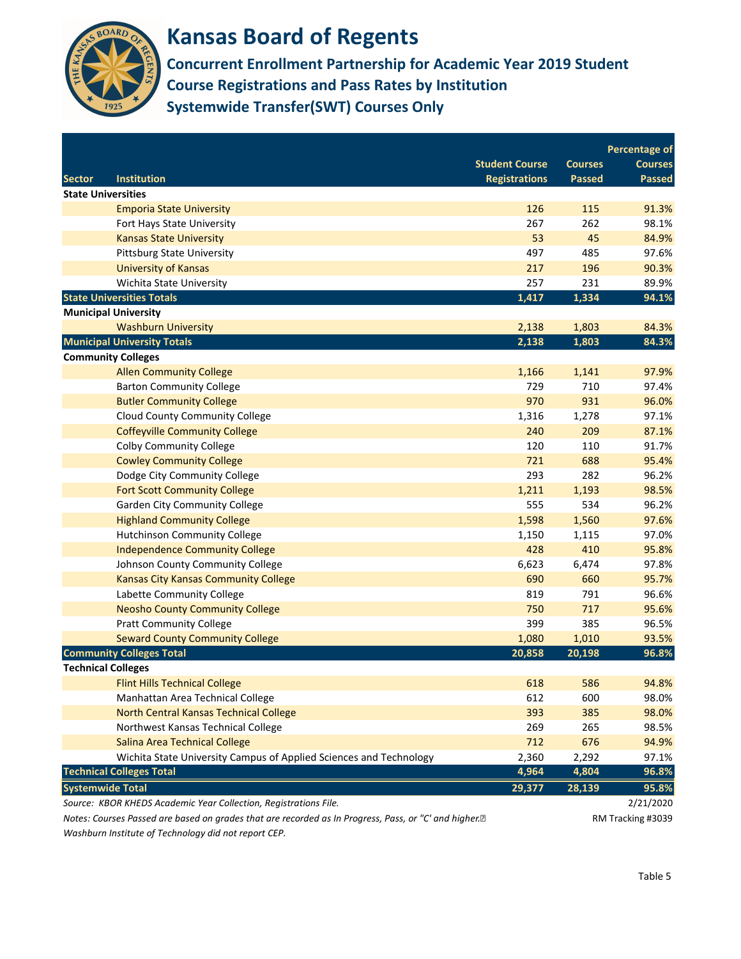

**Concurrent Enrollment Partnership for Academic Year 2019 Student Course Registrations and Pass Rates by Institution Systemwide Transfer(SWT) Courses Only**

|               |                                                                                                                     |                       |                | <b>Percentage of</b> |
|---------------|---------------------------------------------------------------------------------------------------------------------|-----------------------|----------------|----------------------|
|               |                                                                                                                     | <b>Student Course</b> | <b>Courses</b> | <b>Courses</b>       |
| <b>Sector</b> | <b>Institution</b>                                                                                                  | <b>Registrations</b>  | <b>Passed</b>  | <b>Passed</b>        |
|               | <b>State Universities</b>                                                                                           |                       |                |                      |
|               | <b>Emporia State University</b>                                                                                     | 126                   | 115            | 91.3%                |
|               | Fort Hays State University                                                                                          | 267                   | 262            | 98.1%                |
|               | <b>Kansas State University</b>                                                                                      | 53                    | 45             | 84.9%                |
|               | <b>Pittsburg State University</b>                                                                                   | 497                   | 485            | 97.6%                |
|               | <b>University of Kansas</b>                                                                                         | 217                   | 196            | 90.3%                |
|               | Wichita State University                                                                                            | 257                   | 231            | 89.9%                |
|               | <b>State Universities Totals</b>                                                                                    | 1,417                 | 1,334          | 94.1%                |
|               | <b>Municipal University</b>                                                                                         |                       |                |                      |
|               | <b>Washburn University</b>                                                                                          | 2,138                 | 1,803          | 84.3%                |
|               | <b>Municipal University Totals</b>                                                                                  | 2,138                 | 1,803          | 84.3%                |
|               | <b>Community Colleges</b>                                                                                           |                       |                |                      |
|               | <b>Allen Community College</b>                                                                                      | 1,166                 | 1,141          | 97.9%                |
|               | <b>Barton Community College</b>                                                                                     | 729                   | 710            | 97.4%                |
|               | <b>Butler Community College</b>                                                                                     | 970                   | 931            | 96.0%                |
|               | <b>Cloud County Community College</b>                                                                               | 1,316                 | 1,278          | 97.1%                |
|               | <b>Coffeyville Community College</b>                                                                                | 240                   | 209            | 87.1%                |
|               | <b>Colby Community College</b>                                                                                      | 120                   | 110            | 91.7%                |
|               | <b>Cowley Community College</b>                                                                                     | 721                   | 688            | 95.4%                |
|               | Dodge City Community College                                                                                        | 293                   | 282            | 96.2%                |
|               | <b>Fort Scott Community College</b>                                                                                 | 1,211                 | 1,193          | 98.5%                |
|               | <b>Garden City Community College</b>                                                                                | 555                   | 534            | 96.2%                |
|               | <b>Highland Community College</b>                                                                                   | 1,598                 | 1,560          | 97.6%                |
|               | <b>Hutchinson Community College</b>                                                                                 | 1,150                 | 1,115          | 97.0%                |
|               | <b>Independence Community College</b>                                                                               | 428                   | 410            | 95.8%                |
|               | Johnson County Community College                                                                                    | 6,623                 | 6,474          | 97.8%                |
|               | <b>Kansas City Kansas Community College</b>                                                                         | 690                   | 660            | 95.7%                |
|               | Labette Community College                                                                                           | 819                   | 791            | 96.6%                |
|               | <b>Neosho County Community College</b>                                                                              | 750                   | 717            | 95.6%                |
|               | <b>Pratt Community College</b>                                                                                      | 399                   | 385            | 96.5%                |
|               | <b>Seward County Community College</b>                                                                              | 1,080                 | 1,010          | 93.5%                |
|               | <b>Community Colleges Total</b>                                                                                     | 20,858                | 20,198         | 96.8%                |
|               | <b>Technical Colleges</b>                                                                                           |                       |                |                      |
|               | <b>Flint Hills Technical College</b>                                                                                | 618                   | 586            | 94.8%                |
|               | Manhattan Area Technical College                                                                                    | 612                   | 600            | 98.0%                |
|               | North Central Kansas Technical College                                                                              | 393                   | 385            | 98.0%                |
|               | Northwest Kansas Technical College                                                                                  | 269                   | 265            | 98.5%                |
|               | Salina Area Technical College                                                                                       | 712                   | 676            | 94.9%                |
|               | Wichita State University Campus of Applied Sciences and Technology                                                  | 2,360                 | 2,292          | 97.1%                |
|               | <b>Technical Colleges Total</b>                                                                                     | 4,964                 | 4,804          | 96.8%                |
|               | <b>Systemwide Total</b>                                                                                             | 29,377                | 28,139         | 95.8%                |
|               | Source: KBOR KHEDS Academic Year Collection, Registrations File.                                                    |                       |                | 2/21/2020            |
|               | Notes: Courses Passed are based on grades that are recorded as In Progress, Pass, or "C' and higher. <sup>[2]</sup> |                       |                | RM Tracking #3039    |
|               |                                                                                                                     |                       |                |                      |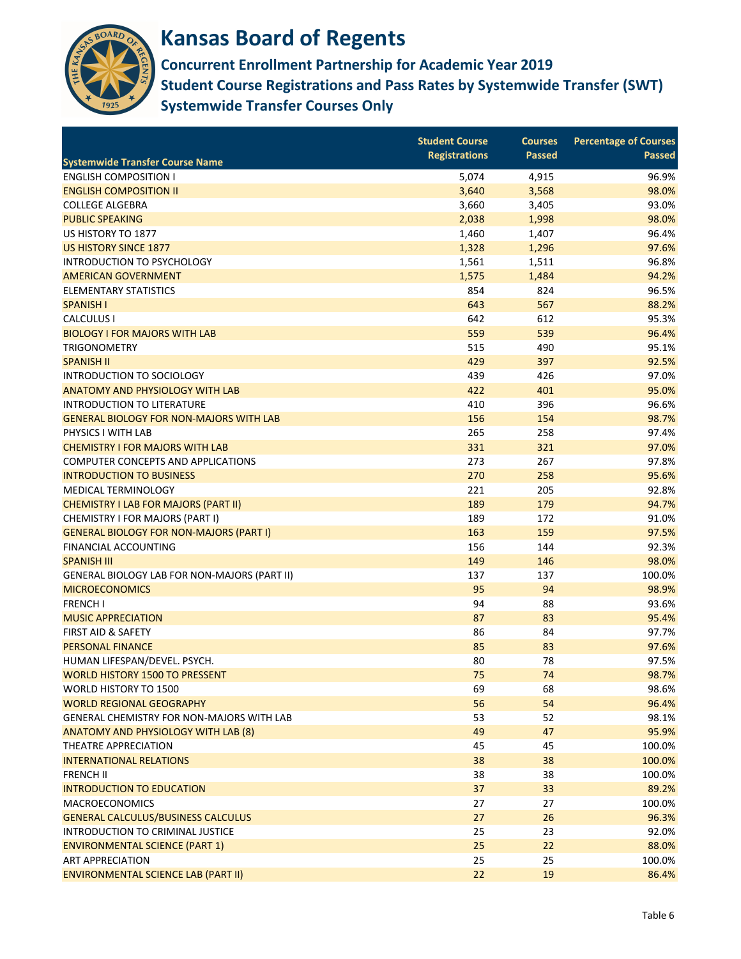

**Concurrent Enrollment Partnership for Academic Year 2019 Student Course Registrations and Pass Rates by Systemwide Transfer (SWT) Systemwide Transfer Courses Only**

|                                                     | <b>Student Course</b> | <b>Courses</b> | <b>Percentage of Courses</b> |
|-----------------------------------------------------|-----------------------|----------------|------------------------------|
| <b>Systemwide Transfer Course Name</b>              | <b>Registrations</b>  | <b>Passed</b>  | <b>Passed</b>                |
| <b>ENGLISH COMPOSITION I</b>                        | 5,074                 | 4,915          | 96.9%                        |
| <b>ENGLISH COMPOSITION II</b>                       | 3,640                 | 3,568          | 98.0%                        |
| <b>COLLEGE ALGEBRA</b>                              | 3,660                 | 3,405          | 93.0%                        |
| <b>PUBLIC SPEAKING</b>                              | 2,038                 | 1,998          | 98.0%                        |
| US HISTORY TO 1877                                  | 1,460                 | 1,407          | 96.4%                        |
| <b>US HISTORY SINCE 1877</b>                        | 1,328                 | 1,296          | 97.6%                        |
| INTRODUCTION TO PSYCHOLOGY                          | 1,561                 | 1,511          | 96.8%                        |
| <b>AMERICAN GOVERNMENT</b>                          | 1,575                 | 1,484          | 94.2%                        |
| <b>ELEMENTARY STATISTICS</b>                        | 854                   | 824            | 96.5%                        |
| <b>SPANISH I</b>                                    | 643                   | 567            | 88.2%                        |
| <b>CALCULUS I</b>                                   | 642                   | 612            | 95.3%                        |
| <b>BIOLOGY I FOR MAJORS WITH LAB</b>                | 559                   | 539            | 96.4%                        |
| <b>TRIGONOMETRY</b>                                 | 515                   | 490            | 95.1%                        |
| <b>SPANISH II</b>                                   | 429                   | 397            | 92.5%                        |
| INTRODUCTION TO SOCIOLOGY                           | 439                   | 426            | 97.0%                        |
| <b>ANATOMY AND PHYSIOLOGY WITH LAB</b>              | 422                   | 401            | 95.0%                        |
| <b>INTRODUCTION TO LITERATURE</b>                   | 410                   | 396            | 96.6%                        |
| <b>GENERAL BIOLOGY FOR NON-MAJORS WITH LAB</b>      | 156                   | 154            | 98.7%                        |
| PHYSICS I WITH LAB                                  | 265                   | 258            | 97.4%                        |
| <b>CHEMISTRY I FOR MAJORS WITH LAB</b>              | 331                   | 321            | 97.0%                        |
| <b>COMPUTER CONCEPTS AND APPLICATIONS</b>           | 273                   | 267            | 97.8%                        |
| <b>INTRODUCTION TO BUSINESS</b>                     | 270                   | 258            | 95.6%                        |
| MEDICAL TERMINOLOGY                                 | 221                   | 205            | 92.8%                        |
| <b>CHEMISTRY I LAB FOR MAJORS (PART II)</b>         | 189                   | 179            | 94.7%                        |
| CHEMISTRY I FOR MAJORS (PART I)                     | 189                   | 172            | 91.0%                        |
| <b>GENERAL BIOLOGY FOR NON-MAJORS (PART I)</b>      | 163                   | 159            | 97.5%                        |
| FINANCIAL ACCOUNTING                                | 156                   | 144            | 92.3%                        |
| <b>SPANISH III</b>                                  | 149                   | 146            | 98.0%                        |
| <b>GENERAL BIOLOGY LAB FOR NON-MAJORS (PART II)</b> | 137                   | 137            | 100.0%                       |
| <b>MICROECONOMICS</b>                               | 95                    | 94             | 98.9%                        |
| <b>FRENCH I</b>                                     | 94                    | 88             | 93.6%                        |
| <b>MUSIC APPRECIATION</b>                           | 87                    | 83             | 95.4%                        |
| FIRST AID & SAFETY                                  | 86                    | 84             | 97.7%                        |
| <b>PERSONAL FINANCE</b>                             | 85                    | 83             | 97.6%                        |
| HUMAN LIFESPAN/DEVEL. PSYCH.                        | 80                    | 78             | 97.5%                        |
| <b>WORLD HISTORY 1500 TO PRESSENT</b>               | 75                    | 74             | 98.7%                        |
| WORLD HISTORY TO 1500                               | 69                    | 68             | 98.6%                        |
| <b>WORLD REGIONAL GEOGRAPHY</b>                     | 56                    | 54             | 96.4%                        |
| GENERAL CHEMISTRY FOR NON-MAJORS WITH LAB           | 53                    | 52             | 98.1%                        |
| ANATOMY AND PHYSIOLOGY WITH LAB (8)                 | 49                    | 47             | 95.9%                        |
| <b>THEATRE APPRECIATION</b>                         | 45                    | 45             | 100.0%                       |
| <b>INTERNATIONAL RELATIONS</b>                      | 38                    | 38             | 100.0%                       |
| <b>FRENCH II</b>                                    | 38                    | 38             | 100.0%                       |
| <b>INTRODUCTION TO EDUCATION</b>                    | 37                    | 33             | 89.2%                        |
| <b>MACROECONOMICS</b>                               | 27                    | 27             | 100.0%                       |
| <b>GENERAL CALCULUS/BUSINESS CALCULUS</b>           | 27                    | 26             | 96.3%                        |
| INTRODUCTION TO CRIMINAL JUSTICE                    | 25                    | 23             | 92.0%                        |
| <b>ENVIRONMENTAL SCIENCE (PART 1)</b>               | 25                    | 22             | 88.0%                        |
| <b>ART APPRECIATION</b>                             | 25                    | 25             | 100.0%                       |
| <b>ENVIRONMENTAL SCIENCE LAB (PART II)</b>          | 22                    | 19             | 86.4%                        |
|                                                     |                       |                |                              |